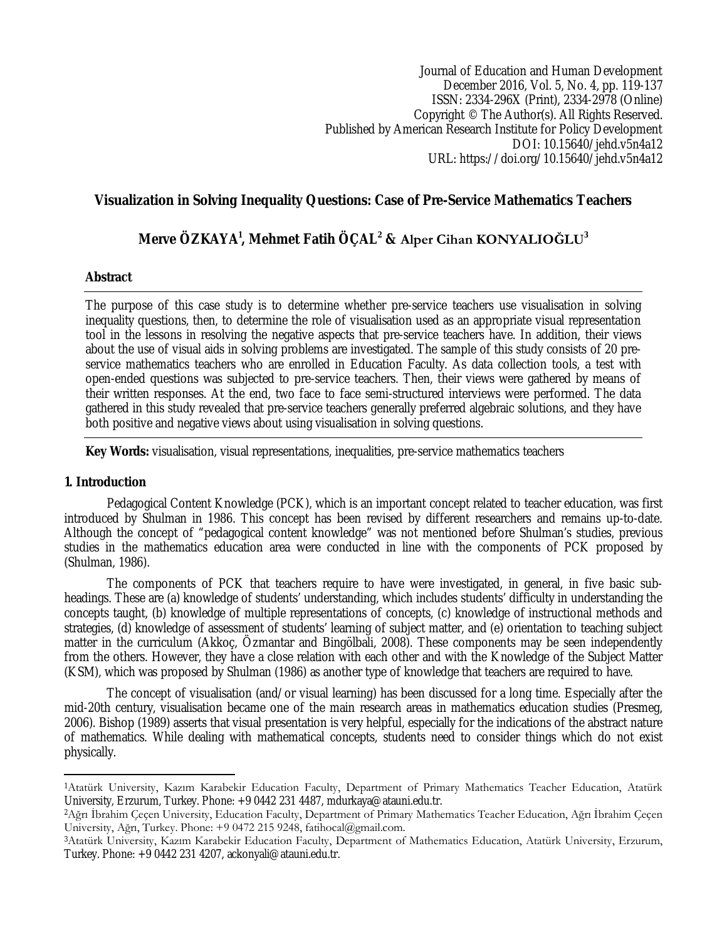Journal of Education and Human Development December 2016, Vol. 5, No. 4, pp. 119-137 ISSN: 2334-296X (Print), 2334-2978 (Online) Copyright © The Author(s). All Rights Reserved. Published by American Research Institute for Policy Development DOI: 10.15640/jehd.v5n4a12 URL: https://doi.org/10.15640/jehd.v5n4a12

# **Visualization in Solving Inequality Questions: Case of Pre-Service Mathematics Teachers**

# **Merve ÖZKAYA<sup>1</sup> , Mehmet Fatih ÖÇAL<sup>2</sup> & Alper Cihan KONYALIOĞLU<sup>3</sup>**

### **Abstract**

The purpose of this case study is to determine whether pre-service teachers use visualisation in solving inequality questions, then, to determine the role of visualisation used as an appropriate visual representation tool in the lessons in resolving the negative aspects that pre-service teachers have. In addition, their views about the use of visual aids in solving problems are investigated. The sample of this study consists of 20 preservice mathematics teachers who are enrolled in Education Faculty. As data collection tools, a test with open-ended questions was subjected to pre-service teachers. Then, their views were gathered by means of their written responses. At the end, two face to face semi-structured interviews were performed. The data gathered in this study revealed that pre-service teachers generally preferred algebraic solutions, and they have both positive and negative views about using visualisation in solving questions.

**Key Words:** visualisation, visual representations, inequalities, pre-service mathematics teachers

### **1. Introduction**

 $\overline{a}$ 

Pedagogical Content Knowledge (PCK), which is an important concept related to teacher education, was first introduced by Shulman in 1986. This concept has been revised by different researchers and remains up-to-date. Although the concept of "pedagogical content knowledge" was not mentioned before Shulman's studies, previous studies in the mathematics education area were conducted in line with the components of PCK proposed by (Shulman, 1986).

The components of PCK that teachers require to have were investigated, in general, in five basic subheadings. These are (a) knowledge of students' understanding, which includes students' difficulty in understanding the concepts taught, (b) knowledge of multiple representations of concepts, (c) knowledge of instructional methods and strategies, (d) knowledge of assessment of students' learning of subject matter, and (e) orientation to teaching subject matter in the curriculum (Akkoç, Özmantar and Bingölbali, 2008). These components may be seen independently from the others. However, they have a close relation with each other and with the Knowledge of the Subject Matter (KSM), which was proposed by Shulman (1986) as another type of knowledge that teachers are required to have.

The concept of visualisation (and/or visual learning) has been discussed for a long time. Especially after the mid-20th century, visualisation became one of the main research areas in mathematics education studies (Presmeg, 2006). Bishop (1989) asserts that visual presentation is very helpful, especially for the indications of the abstract nature of mathematics. While dealing with mathematical concepts, students need to consider things which do not exist physically.

<sup>1</sup>Atatürk University, Kazım Karabekir Education Faculty, Department of Primary Mathematics Teacher Education, Atatürk University, Erzurum, Turkey. Phone: +9 0442 231 4487, mdurkaya@atauni.edu.tr.

<sup>2</sup>Ağrı İbrahim Çeçen University, Education Faculty, Department of Primary Mathematics Teacher Education, Ağrı İbrahim Çeçen University, Ağrı, Turkey. Phone: +9 0472 215 9248, fatihocal@gmail.com.

<sup>3</sup>Atatürk University, Kazım Karabekir Education Faculty, Department of Mathematics Education, Atatürk University, Erzurum, Turkey. Phone: +9 0442 231 4207, ackonyali@atauni.edu.tr.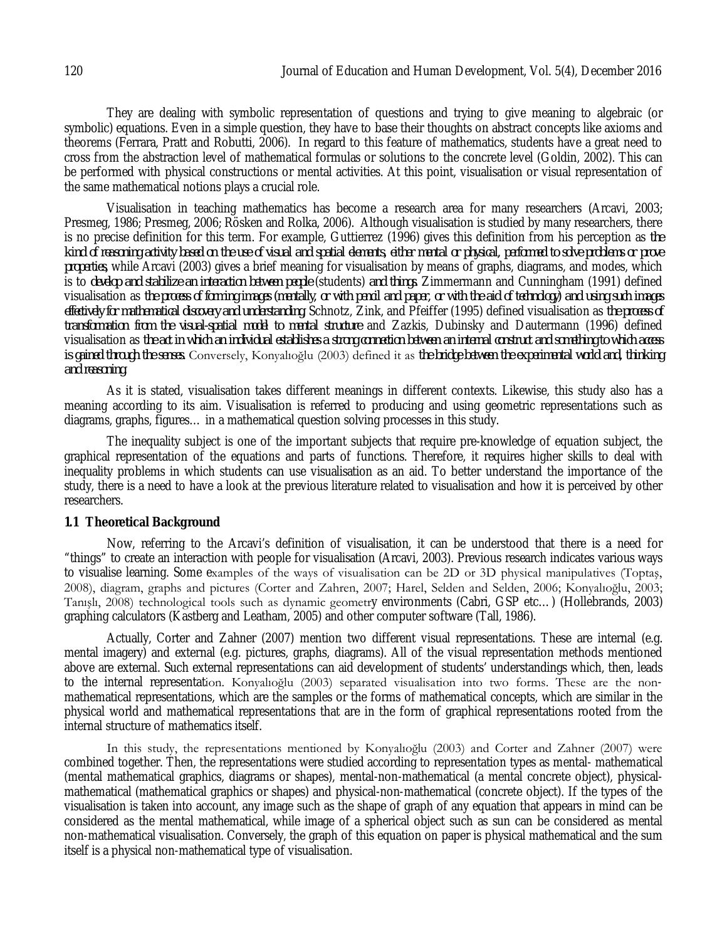They are dealing with symbolic representation of questions and trying to give meaning to algebraic (or symbolic) equations. Even in a simple question, they have to base their thoughts on abstract concepts like axioms and theorems (Ferrara, Pratt and Robutti, 2006). In regard to this feature of mathematics, students have a great need to cross from the abstraction level of mathematical formulas or solutions to the concrete level (Goldin, 2002). This can be performed with physical constructions or mental activities. At this point, visualisation or visual representation of the same mathematical notions plays a crucial role.

Visualisation in teaching mathematics has become a research area for many researchers (Arcavi, 2003; Presmeg, 1986; Presmeg, 2006; Rösken and Rolka, 2006). Although visualisation is studied by many researchers, there is no precise definition for this term. For example, Guttierrez (1996) gives this definition from his perception as *the kind of reasoning activity based on the use of visual and spatial elements, either mental or physical, performed to solve problems or prove properties,* while Arcavi (2003) gives a brief meaning for visualisation by means of graphs, diagrams, and modes, which is to *develop and stabilize an interaction between people* (students) *and things.* Zimmermann and Cunningham (1991) defined visualisation as *the process of forming images (mentally, or with pencil and paper, or with the aid of technology) and using such images effectively for mathematical discovery and understanding*, Schnotz, Zink, and Pfeiffer (1995) defined visualisation as *the process of transformation from the visual-spatial model to mental structure* and Zazkis, Dubinsky and Dautermann (1996) defined visualisation as *the act in which an individual establishes a strong connection between an internal construct and something to which access is gained through the senses.* Conversely, Konyalıoğlu (2003) defined it as *the bridge between the experimental world and, thinking and reasoning.*

As it is stated, visualisation takes different meanings in different contexts. Likewise, this study also has a meaning according to its aim. Visualisation is referred to producing and using geometric representations such as diagrams, graphs, figures… in a mathematical question solving processes in this study.

The inequality subject is one of the important subjects that require pre-knowledge of equation subject, the graphical representation of the equations and parts of functions. Therefore, it requires higher skills to deal with inequality problems in which students can use visualisation as an aid. To better understand the importance of the study, there is a need to have a look at the previous literature related to visualisation and how it is perceived by other researchers.

### **1.1 Theoretical Background**

Now, referring to the Arcavi's definition of visualisation, it can be understood that there is a need for "things" to create an interaction with people for visualisation (Arcavi, 2003). Previous research indicates various ways to visualise learning. Some examples of the ways of visualisation can be 2D or 3D physical manipulatives (Toptaş, 2008), diagram, graphs and pictures (Corter and Zahren, 2007; Harel, Selden and Selden, 2006; Konyalıoğlu, 2003; Tanışlı, 2008) technological tools such as dynamic geometry environments (Cabri, GSP etc…) (Hollebrands, 2003) graphing calculators (Kastberg and Leatham, 2005) and other computer software (Tall, 1986).

Actually, Corter and Zahner (2007) mention two different visual representations. These are internal (e.g. mental imagery) and external (e.g. pictures, graphs, diagrams). All of the visual representation methods mentioned above are external. Such external representations can aid development of students' understandings which, then, leads to the internal representation. Konyalıoğlu (2003) separated visualisation into two forms. These are the nonmathematical representations, which are the samples or the forms of mathematical concepts, which are similar in the physical world and mathematical representations that are in the form of graphical representations rooted from the internal structure of mathematics itself.

In this study, the representations mentioned by Konyalıoğlu (2003) and Corter and Zahner (2007) were combined together. Then, the representations were studied according to representation types as mental- mathematical (mental mathematical graphics, diagrams or shapes), mental-non-mathematical (a mental concrete object), physicalmathematical (mathematical graphics or shapes) and physical-non-mathematical (concrete object). If the types of the visualisation is taken into account, any image such as the shape of graph of any equation that appears in mind can be considered as the mental mathematical, while image of a spherical object such as sun can be considered as mental non-mathematical visualisation. Conversely, the graph of this equation on paper is physical mathematical and the sum itself is a physical non-mathematical type of visualisation.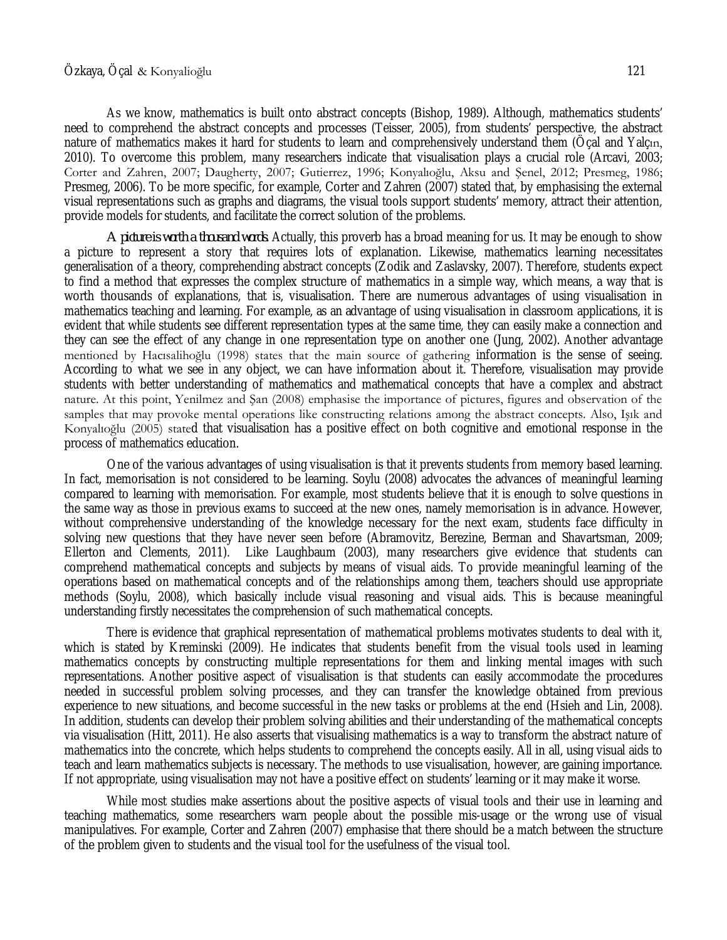#### Özkaya, Öçal & Konyalioğlu 121

As we know, mathematics is built onto abstract concepts (Bishop, 1989). Although, mathematics students' need to comprehend the abstract concepts and processes (Teisser, 2005), from students' perspective, the abstract nature of mathematics makes it hard for students to learn and comprehensively understand them (Öçal and Yalçın, 2010). To overcome this problem, many researchers indicate that visualisation plays a crucial role (Arcavi, 2003; Corter and Zahren, 2007; Daugherty, 2007; Gutierrez, 1996; Konyalıoğlu, Aksu and Şenel, 2012; Presmeg, 1986; Presmeg, 2006). To be more specific, for example, Corter and Zahren (2007) stated that, by emphasising the external visual representations such as graphs and diagrams, the visual tools support students' memory, attract their attention, provide models for students, and facilitate the correct solution of the problems.

*A picture is worth a thousand words.* Actually, this proverb has a broad meaning for us. It may be enough to show a picture to represent a story that requires lots of explanation. Likewise, mathematics learning necessitates generalisation of a theory, comprehending abstract concepts (Zodik and Zaslavsky, 2007). Therefore, students expect to find a method that expresses the complex structure of mathematics in a simple way, which means, a way that is worth thousands of explanations, that is, visualisation. There are numerous advantages of using visualisation in mathematics teaching and learning. For example, as an advantage of using visualisation in classroom applications, it is evident that while students see different representation types at the same time, they can easily make a connection and they can see the effect of any change in one representation type on another one (Jung, 2002). Another advantage mentioned by Hacısalihoğlu (1998) states that the main source of gathering information is the sense of seeing. According to what we see in any object, we can have information about it. Therefore, visualisation may provide students with better understanding of mathematics and mathematical concepts that have a complex and abstract nature. At this point, Yenilmez and Şan (2008) emphasise the importance of pictures, figures and observation of the samples that may provoke mental operations like constructing relations among the abstract concepts. Also, Işık and Konyalıoğlu (2005) stated that visualisation has a positive effect on both cognitive and emotional response in the process of mathematics education.

One of the various advantages of using visualisation is that it prevents students from memory based learning. In fact, memorisation is not considered to be learning. Soylu (2008) advocates the advances of meaningful learning compared to learning with memorisation. For example, most students believe that it is enough to solve questions in the same way as those in previous exams to succeed at the new ones, namely memorisation is in advance. However, without comprehensive understanding of the knowledge necessary for the next exam, students face difficulty in solving new questions that they have never seen before (Abramovitz, Berezine, Berman and Shavartsman, 2009; Ellerton and Clements, 2011). Like Laughbaum (2003), many researchers give evidence that students can comprehend mathematical concepts and subjects by means of visual aids. To provide meaningful learning of the operations based on mathematical concepts and of the relationships among them, teachers should use appropriate methods (Soylu, 2008), which basically include visual reasoning and visual aids. This is because meaningful understanding firstly necessitates the comprehension of such mathematical concepts.

There is evidence that graphical representation of mathematical problems motivates students to deal with it, which is stated by Kreminski (2009). He indicates that students benefit from the visual tools used in learning mathematics concepts by constructing multiple representations for them and linking mental images with such representations. Another positive aspect of visualisation is that students can easily accommodate the procedures needed in successful problem solving processes, and they can transfer the knowledge obtained from previous experience to new situations, and become successful in the new tasks or problems at the end (Hsieh and Lin, 2008). In addition, students can develop their problem solving abilities and their understanding of the mathematical concepts via visualisation (Hitt, 2011). He also asserts that visualising mathematics is a way to transform the abstract nature of mathematics into the concrete, which helps students to comprehend the concepts easily. All in all, using visual aids to teach and learn mathematics subjects is necessary. The methods to use visualisation, however, are gaining importance. If not appropriate, using visualisation may not have a positive effect on students' learning or it may make it worse.

While most studies make assertions about the positive aspects of visual tools and their use in learning and teaching mathematics, some researchers warn people about the possible mis-usage or the wrong use of visual manipulatives. For example, Corter and Zahren (2007) emphasise that there should be a match between the structure of the problem given to students and the visual tool for the usefulness of the visual tool.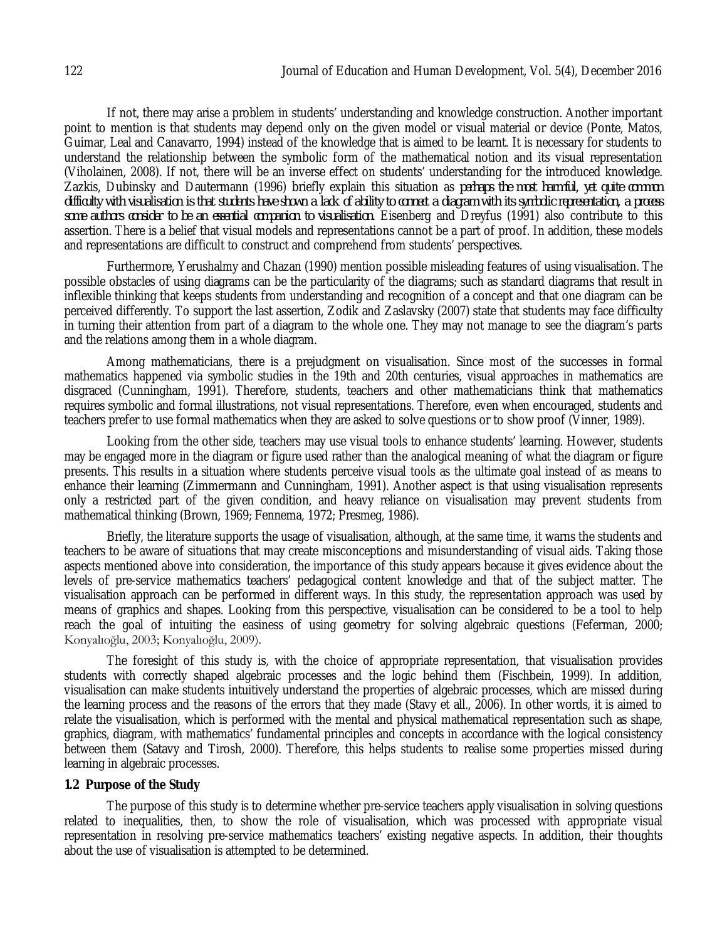If not, there may arise a problem in students' understanding and knowledge construction. Another important point to mention is that students may depend only on the given model or visual material or device (Ponte, Matos, Guimar, Leal and Canavarro, 1994) instead of the knowledge that is aimed to be learnt. It is necessary for students to understand the relationship between the symbolic form of the mathematical notion and its visual representation (Viholainen, 2008). If not, there will be an inverse effect on students' understanding for the introduced knowledge. Zazkis, Dubinsky and Dautermann (1996) briefly explain this situation as *perhaps the most harmful, yet quite common difficulty with visualisation is that students have shown a lack of ability to connect a diagram with its symbolic representation, a process some authors consider to be an essential companion to visualisation.* Eisenberg and Dreyfus (1991) also contribute to this assertion. There is a belief that visual models and representations cannot be a part of proof. In addition, these models and representations are difficult to construct and comprehend from students' perspectives.

Furthermore, Yerushalmy and Chazan (1990) mention possible misleading features of using visualisation. The possible obstacles of using diagrams can be the particularity of the diagrams; such as standard diagrams that result in inflexible thinking that keeps students from understanding and recognition of a concept and that one diagram can be perceived differently. To support the last assertion, Zodik and Zaslavsky (2007) state that students may face difficulty in turning their attention from part of a diagram to the whole one. They may not manage to see the diagram's parts and the relations among them in a whole diagram.

Among mathematicians, there is a prejudgment on visualisation. Since most of the successes in formal mathematics happened via symbolic studies in the 19th and 20th centuries, visual approaches in mathematics are disgraced (Cunningham, 1991). Therefore, students, teachers and other mathematicians think that mathematics requires symbolic and formal illustrations, not visual representations. Therefore, even when encouraged, students and teachers prefer to use formal mathematics when they are asked to solve questions or to show proof (Vinner, 1989).

Looking from the other side, teachers may use visual tools to enhance students' learning. However, students may be engaged more in the diagram or figure used rather than the analogical meaning of what the diagram or figure presents. This results in a situation where students perceive visual tools as the ultimate goal instead of as means to enhance their learning (Zimmermann and Cunningham, 1991). Another aspect is that using visualisation represents only a restricted part of the given condition, and heavy reliance on visualisation may prevent students from mathematical thinking (Brown, 1969; Fennema, 1972; Presmeg, 1986).

Briefly, the literature supports the usage of visualisation, although, at the same time, it warns the students and teachers to be aware of situations that may create misconceptions and misunderstanding of visual aids. Taking those aspects mentioned above into consideration, the importance of this study appears because it gives evidence about the levels of pre-service mathematics teachers' pedagogical content knowledge and that of the subject matter. The visualisation approach can be performed in different ways. In this study, the representation approach was used by means of graphics and shapes. Looking from this perspective, visualisation can be considered to be a tool to help reach the goal of intuiting the easiness of using geometry for solving algebraic questions (Feferman, 2000; Konyalıoğlu, 2003; Konyalıoğlu, 2009).

The foresight of this study is, with the choice of appropriate representation, that visualisation provides students with correctly shaped algebraic processes and the logic behind them (Fischbein, 1999). In addition, visualisation can make students intuitively understand the properties of algebraic processes, which are missed during the learning process and the reasons of the errors that they made (Stavy et all., 2006). In other words, it is aimed to relate the visualisation, which is performed with the mental and physical mathematical representation such as shape, graphics, diagram, with mathematics' fundamental principles and concepts in accordance with the logical consistency between them (Satavy and Tirosh, 2000). Therefore, this helps students to realise some properties missed during learning in algebraic processes.

### **1.2 Purpose of the Study**

The purpose of this study is to determine whether pre-service teachers apply visualisation in solving questions related to inequalities, then, to show the role of visualisation, which was processed with appropriate visual representation in resolving pre-service mathematics teachers' existing negative aspects. In addition, their thoughts about the use of visualisation is attempted to be determined.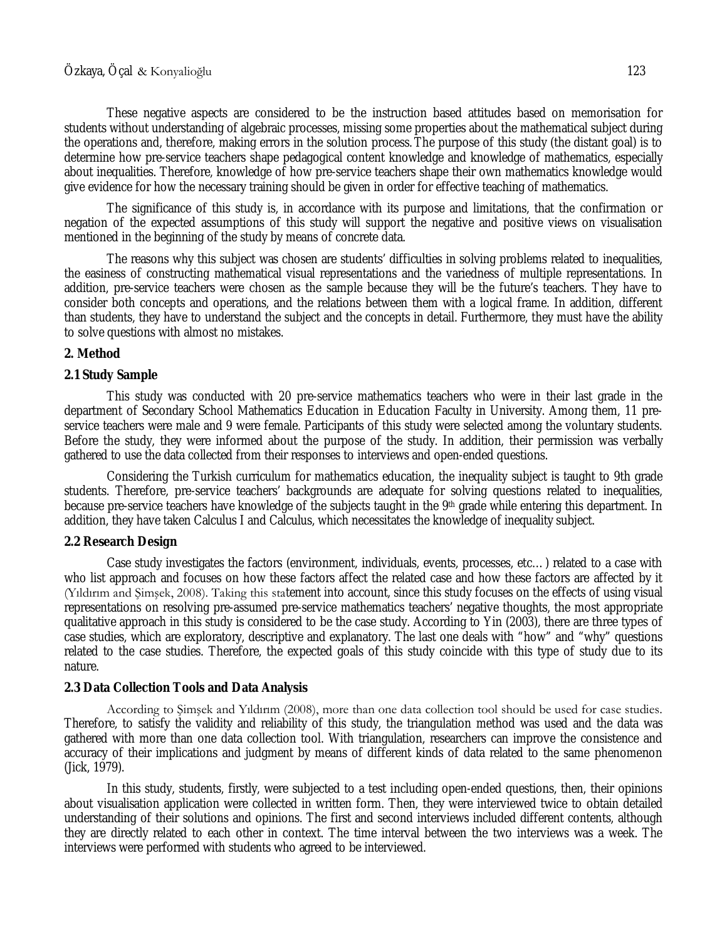These negative aspects are considered to be the instruction based attitudes based on memorisation for students without understanding of algebraic processes, missing some properties about the mathematical subject during the operations and, therefore, making errors in the solution process. The purpose of this study (the distant goal) is to determine how pre-service teachers shape pedagogical content knowledge and knowledge of mathematics, especially about inequalities. Therefore, knowledge of how pre-service teachers shape their own mathematics knowledge would give evidence for how the necessary training should be given in order for effective teaching of mathematics.

The significance of this study is, in accordance with its purpose and limitations, that the confirmation or negation of the expected assumptions of this study will support the negative and positive views on visualisation mentioned in the beginning of the study by means of concrete data.

The reasons why this subject was chosen are students' difficulties in solving problems related to inequalities, the easiness of constructing mathematical visual representations and the variedness of multiple representations. In addition, pre-service teachers were chosen as the sample because they will be the future's teachers. They have to consider both concepts and operations, and the relations between them with a logical frame. In addition, different than students, they have to understand the subject and the concepts in detail. Furthermore, they must have the ability to solve questions with almost no mistakes.

## **2. Method**

## **2.1 Study Sample**

This study was conducted with 20 pre-service mathematics teachers who were in their last grade in the department of Secondary School Mathematics Education in Education Faculty in University. Among them, 11 preservice teachers were male and 9 were female. Participants of this study were selected among the voluntary students. Before the study, they were informed about the purpose of the study. In addition, their permission was verbally gathered to use the data collected from their responses to interviews and open-ended questions.

Considering the Turkish curriculum for mathematics education, the inequality subject is taught to 9th grade students. Therefore, pre-service teachers' backgrounds are adequate for solving questions related to inequalities, because pre-service teachers have knowledge of the subjects taught in the 9th grade while entering this department. In addition, they have taken Calculus I and Calculus, which necessitates the knowledge of inequality subject.

### **2.2 Research Design**

Case study investigates the factors (environment, individuals, events, processes, etc…) related to a case with who list approach and focuses on how these factors affect the related case and how these factors are affected by it (Yıldırım and Şimşek, 2008). Taking this statement into account, since this study focuses on the effects of using visual representations on resolving pre-assumed pre-service mathematics teachers' negative thoughts, the most appropriate qualitative approach in this study is considered to be the case study. According to Yin (2003), there are three types of case studies, which are exploratory, descriptive and explanatory. The last one deals with "how" and "why" questions related to the case studies. Therefore, the expected goals of this study coincide with this type of study due to its nature.

### **2.3 Data Collection Tools and Data Analysis**

According to Şimşek and Yıldırım (2008), more than one data collection tool should be used for case studies. Therefore, to satisfy the validity and reliability of this study, the triangulation method was used and the data was gathered with more than one data collection tool. With triangulation, researchers can improve the consistence and accuracy of their implications and judgment by means of different kinds of data related to the same phenomenon (Jick, 1979).

In this study, students, firstly, were subjected to a test including open-ended questions, then, their opinions about visualisation application were collected in written form. Then, they were interviewed twice to obtain detailed understanding of their solutions and opinions. The first and second interviews included different contents, although they are directly related to each other in context. The time interval between the two interviews was a week. The interviews were performed with students who agreed to be interviewed.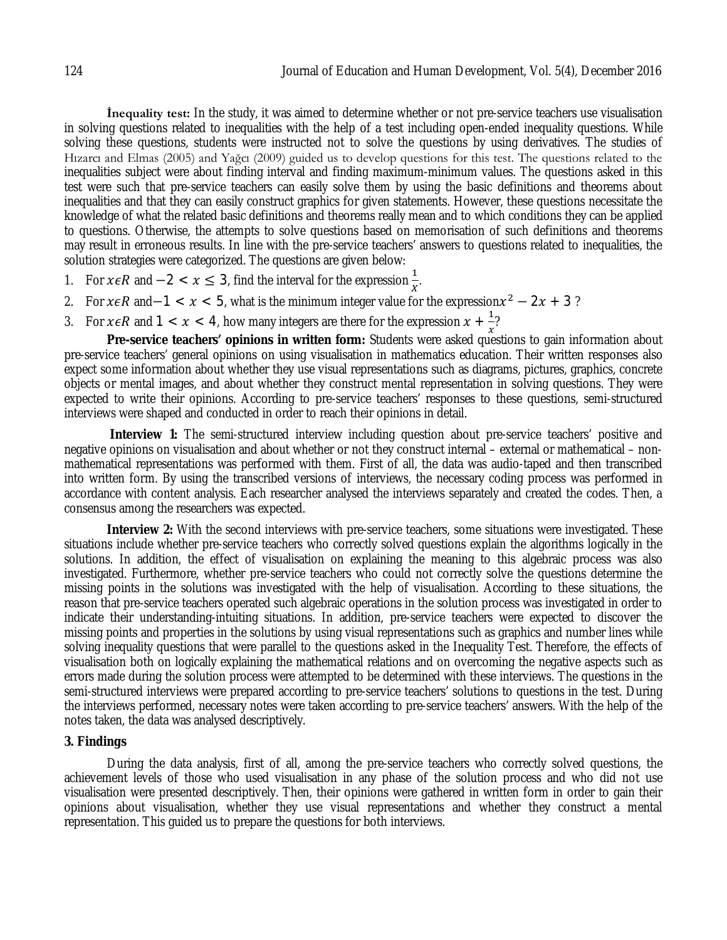**İnequality test:** In the study, it was aimed to determine whether or not pre-service teachers use visualisation in solving questions related to inequalities with the help of a test including open-ended inequality questions. While solving these questions, students were instructed not to solve the questions by using derivatives. The studies of Hızarcı and Elmas (2005) and Yağcı (2009) guided us to develop questions for this test. The questions related to the inequalities subject were about finding interval and finding maximum-minimum values. The questions asked in this test were such that pre-service teachers can easily solve them by using the basic definitions and theorems about inequalities and that they can easily construct graphics for given statements. However, these questions necessitate the knowledge of what the related basic definitions and theorems really mean and to which conditions they can be applied to questions. Otherwise, the attempts to solve questions based on memorisation of such definitions and theorems may result in erroneous results. In line with the pre-service teachers' answers to questions related to inequalities, the solution strategies were categorized. The questions are given below:

- 1. For  $x \in R$  and  $-2 < x \le 3$ , find the interval for the expression  $\frac{1}{x}$ .
- 2. For  $x \in R$  and–1 <  $x$  < 5, what is the minimum integer value for the expression $x^2 2x + 3$ ?
- 3. For  $x \in R$  and  $1 < x < 4$ , how many integers are there for the expression  $x + \frac{1}{x}$  $\frac{1}{x}$ ?

**Pre-service teachers' opinions in written form:** Students were asked questions to gain information about pre-service teachers' general opinions on using visualisation in mathematics education. Their written responses also expect some information about whether they use visual representations such as diagrams, pictures, graphics, concrete objects or mental images, and about whether they construct mental representation in solving questions. They were expected to write their opinions. According to pre-service teachers' responses to these questions, semi-structured interviews were shaped and conducted in order to reach their opinions in detail.

**Interview 1:** The semi-structured interview including question about pre-service teachers' positive and negative opinions on visualisation and about whether or not they construct internal – external or mathematical – nonmathematical representations was performed with them. First of all, the data was audio-taped and then transcribed into written form. By using the transcribed versions of interviews, the necessary coding process was performed in accordance with content analysis. Each researcher analysed the interviews separately and created the codes. Then, a consensus among the researchers was expected.

**Interview 2:** With the second interviews with pre-service teachers, some situations were investigated. These situations include whether pre-service teachers who correctly solved questions explain the algorithms logically in the solutions. In addition, the effect of visualisation on explaining the meaning to this algebraic process was also investigated. Furthermore, whether pre-service teachers who could not correctly solve the questions determine the missing points in the solutions was investigated with the help of visualisation. According to these situations, the reason that pre-service teachers operated such algebraic operations in the solution process was investigated in order to indicate their understanding-intuiting situations. In addition, pre-service teachers were expected to discover the missing points and properties in the solutions by using visual representations such as graphics and number lines while solving inequality questions that were parallel to the questions asked in the Inequality Test. Therefore, the effects of visualisation both on logically explaining the mathematical relations and on overcoming the negative aspects such as errors made during the solution process were attempted to be determined with these interviews. The questions in the semi-structured interviews were prepared according to pre-service teachers' solutions to questions in the test. During the interviews performed, necessary notes were taken according to pre-service teachers' answers. With the help of the notes taken, the data was analysed descriptively.

### **3. Findings**

During the data analysis, first of all, among the pre-service teachers who correctly solved questions, the achievement levels of those who used visualisation in any phase of the solution process and who did not use visualisation were presented descriptively. Then, their opinions were gathered in written form in order to gain their opinions about visualisation, whether they use visual representations and whether they construct a mental representation. This guided us to prepare the questions for both interviews.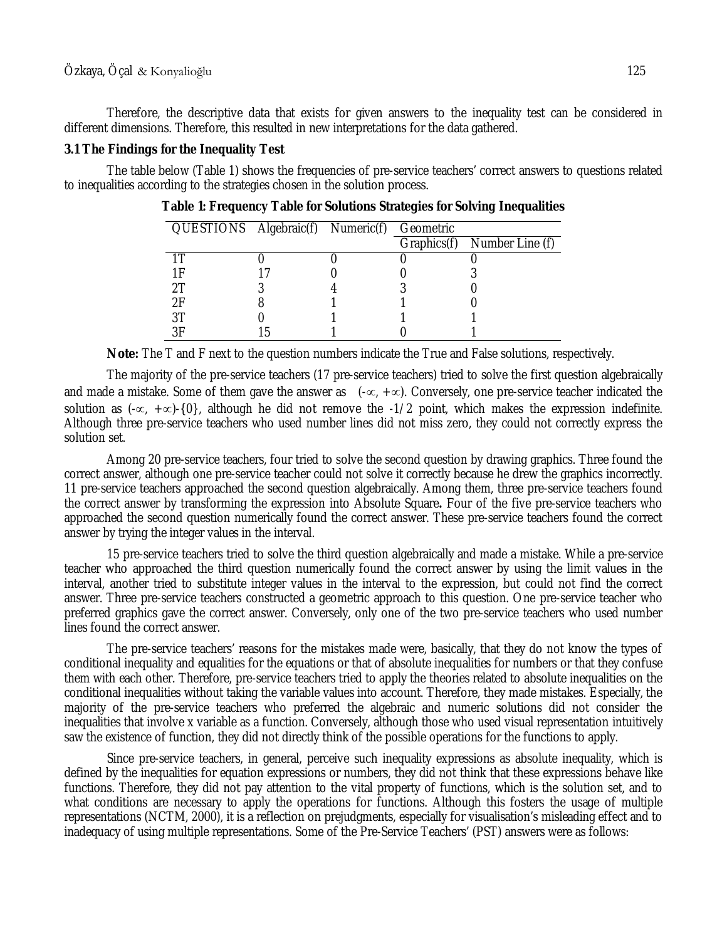Therefore, the descriptive data that exists for given answers to the inequality test can be considered in different dimensions. Therefore, this resulted in new interpretations for the data gathered.

### **3.1 The Findings for the Inequality Test**

The table below (Table 1) shows the frequencies of pre-service teachers' correct answers to questions related to inequalities according to the strategies chosen in the solution process.

| QUESTIONS Algebraic(f) Numeric(f) Geometric |  |                             |
|---------------------------------------------|--|-----------------------------|
|                                             |  | Graphics(f) Number Line (f) |
| 1 T                                         |  |                             |
| 1F                                          |  |                             |
| 2T                                          |  |                             |
| 2F                                          |  |                             |
| 3Τ                                          |  |                             |
| 2Γ                                          |  |                             |

**Table 1: Frequency Table for Solutions Strategies for Solving Inequalities**

**Note:** The T and F next to the question numbers indicate the True and False solutions, respectively.

The majority of the pre-service teachers (17 pre-service teachers) tried to solve the first question algebraically and made a mistake. Some of them gave the answer as  $(-\infty, +\infty)$ . Conversely, one pre-service teacher indicated the solution as  $(-\infty, +\infty)$ -{0}, although he did not remove the -1/2 point, which makes the expression indefinite. Although three pre-service teachers who used number lines did not miss zero, they could not correctly express the solution set.

Among 20 pre-service teachers, four tried to solve the second question by drawing graphics. Three found the correct answer, although one pre-service teacher could not solve it correctly because he drew the graphics incorrectly. 11 pre-service teachers approached the second question algebraically. Among them, three pre-service teachers found the correct answer by transforming the expression into Absolute Square**.** Four of the five pre-service teachers who approached the second question numerically found the correct answer. These pre-service teachers found the correct answer by trying the integer values in the interval.

15 pre-service teachers tried to solve the third question algebraically and made a mistake. While a pre-service teacher who approached the third question numerically found the correct answer by using the limit values in the interval, another tried to substitute integer values in the interval to the expression, but could not find the correct answer. Three pre-service teachers constructed a geometric approach to this question. One pre-service teacher who preferred graphics gave the correct answer. Conversely, only one of the two pre-service teachers who used number lines found the correct answer.

The pre-service teachers' reasons for the mistakes made were, basically, that they do not know the types of conditional inequality and equalities for the equations or that of absolute inequalities for numbers or that they confuse them with each other. Therefore, pre-service teachers tried to apply the theories related to absolute inequalities on the conditional inequalities without taking the variable values into account. Therefore, they made mistakes. Especially, the majority of the pre-service teachers who preferred the algebraic and numeric solutions did not consider the inequalities that involve x variable as a function. Conversely, although those who used visual representation intuitively saw the existence of function, they did not directly think of the possible operations for the functions to apply.

Since pre-service teachers, in general, perceive such inequality expressions as absolute inequality, which is defined by the inequalities for equation expressions or numbers, they did not think that these expressions behave like functions. Therefore, they did not pay attention to the vital property of functions, which is the solution set, and to what conditions are necessary to apply the operations for functions. Although this fosters the usage of multiple representations (NCTM, 2000), it is a reflection on prejudgments, especially for visualisation's misleading effect and to inadequacy of using multiple representations. Some of the Pre-Service Teachers' (PST) answers were as follows: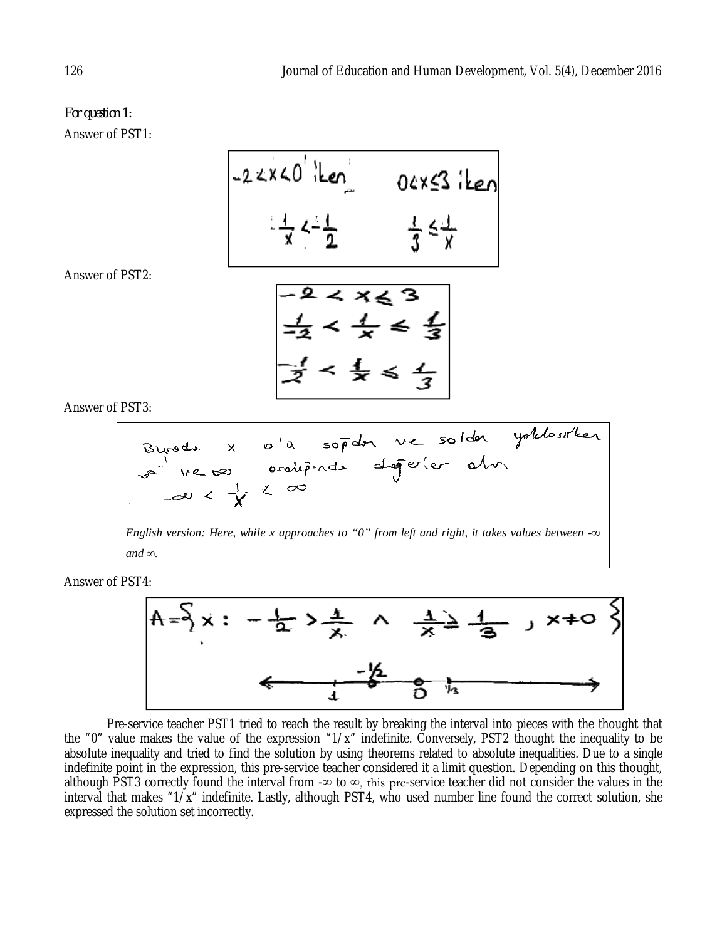# *For question 1:* Answer of PST1:

-2 2 x 40' 
$$
\frac{1}{2}
$$
 0 2 x 53  $\frac{1}{2}$ 

Answer of PST2:

 $\frac{1}{2} < \frac{1}{x} < \frac{1}{3}$ <br> $\frac{1}{2} < \frac{1}{x} < \frac{1}{3}$ 

Answer of PST3:

Bravodus X o la sopdon ve solden yollosirken

\n1. 
$$
ve
$$
 to a sorolipindus degeler olv.

\n2.  $-e$  verolipindus degeler olv.

\n2.  $-e$  or  $e$   $\frac{1}{X}$   $\frac{1}{X}$   $\frac{1}{X}$   $\frac{1}{X}$   $\frac{1}{X}$   $\frac{1}{X}$   $\frac{1}{X}$   $\frac{1}{X}$   $\frac{1}{X}$   $\frac{1}{X}$   $\frac{1}{X}$   $\frac{1}{X}$   $\frac{1}{X}$   $\frac{1}{X}$   $\frac{1}{X}$   $\frac{1}{X}$   $\frac{1}{X}$   $\frac{1}{X}$   $\frac{1}{X}$   $\frac{1}{X}$   $\frac{1}{X}$   $\frac{1}{X}$   $\frac{1}{X}$   $\frac{1}{X}$   $\frac{1}{X}$   $\frac{1}{X}$   $\frac{1}{X}$   $\frac{1}{X}$   $\frac{1}{X}$   $\frac{1}{X}$   $\frac{1}{X}$   $\frac{1}{X}$   $\frac{1}{X}$   $\frac{1}{X}$   $\frac{1}{X}$   $\frac{1}{X}$   $\frac{1}{X}$   $\frac{1}{X}$   $\frac{1}{X}$   $\frac{1}{X}$   $\frac{1}{X}$   $\frac{1}{X}$   $\frac{1}{X}$   $\frac{1}{X}$   $\frac{1}{X}$   $\frac{1}{X}$   $\frac{1}{X}$ 

Answer of PST4:



Pre-service teacher PST1 tried to reach the result by breaking the interval into pieces with the thought that the "0" value makes the value of the expression "1/x" indefinite. Conversely, PST2 thought the inequality to be absolute inequality and tried to find the solution by using theorems related to absolute inequalities. Due to a single indefinite point in the expression, this pre-service teacher considered it a limit question. Depending on this thought, although PST3 correctly found the interval from - $\infty$  to  $\infty$ , this pre-service teacher did not consider the values in the interval that makes "1/x" indefinite. Lastly, although PST4, who used number line found the correct solution, she expressed the solution set incorrectly.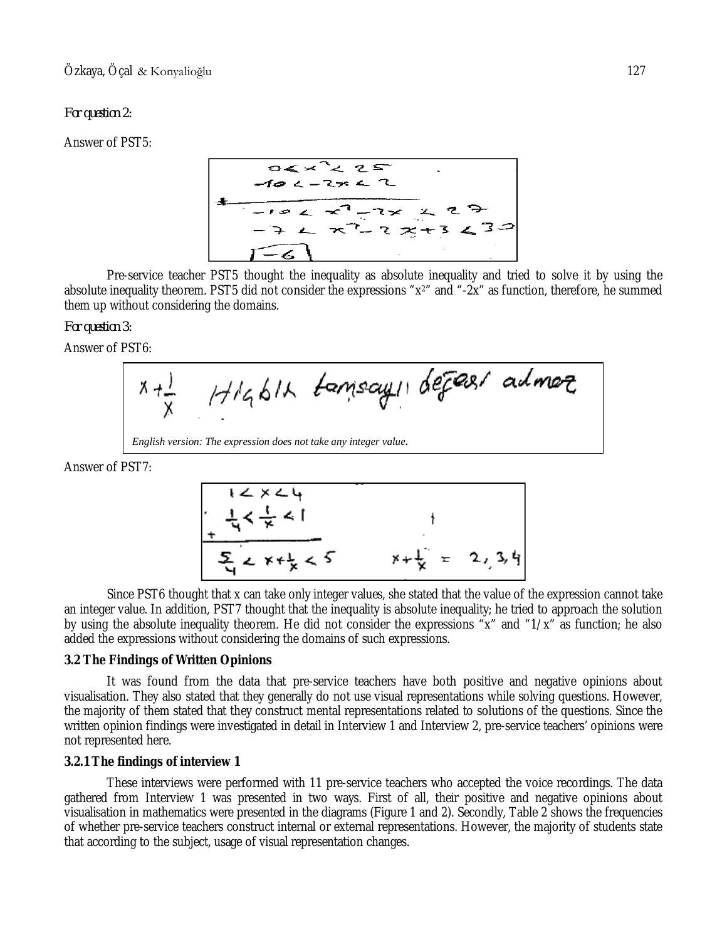### *For question 2:*

Answer of PST5:



Pre-service teacher PST5 thought the inequality as absolute inequality and tried to solve it by using the absolute inequality theorem. PST5 did not consider the expressions "x2" and "-2x" as function, therefore, he summed them up without considering the domains.

### *For question 3:*

Answer of PST6:



Answer of PST7:

$$
1 < x < 4
$$
\n
$$
\frac{1}{4} < \frac{1}{x} < 1
$$
\n
$$
\frac{1}{2} < x + \frac{1}{2} < 5
$$
\n
$$
x + \frac{1}{2} = 2, 3, 4
$$

Since PST6 thought that x can take only integer values, she stated that the value of the expression cannot take an integer value. In addition, PST7 thought that the inequality is absolute inequality; he tried to approach the solution by using the absolute inequality theorem. He did not consider the expressions "x" and "1/x" as function; he also added the expressions without considering the domains of such expressions.

### **3.2 The Findings of Written Opinions**

It was found from the data that pre-service teachers have both positive and negative opinions about visualisation. They also stated that they generally do not use visual representations while solving questions. However, the majority of them stated that they construct mental representations related to solutions of the questions. Since the written opinion findings were investigated in detail in Interview 1 and Interview 2, pre-service teachers' opinions were not represented here.

### **3.2.1 The findings of interview 1**

These interviews were performed with 11 pre-service teachers who accepted the voice recordings. The data gathered from Interview 1 was presented in two ways. First of all, their positive and negative opinions about visualisation in mathematics were presented in the diagrams (Figure 1 and 2). Secondly, Table 2 shows the frequencies of whether pre-service teachers construct internal or external representations. However, the majority of students state that according to the subject, usage of visual representation changes.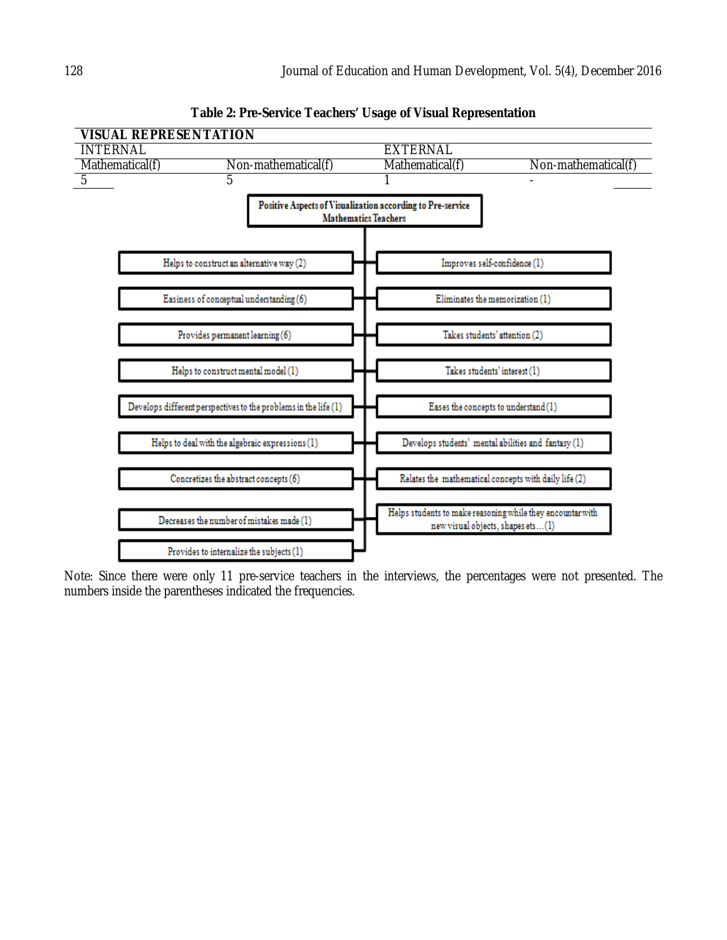

**Table 2: Pre-Service Teachers' Usage of Visual Representation**

Note: Since there were only 11 pre-service teachers in the interviews, the percentages were not presented. The numbers inside the parentheses indicated the frequencies.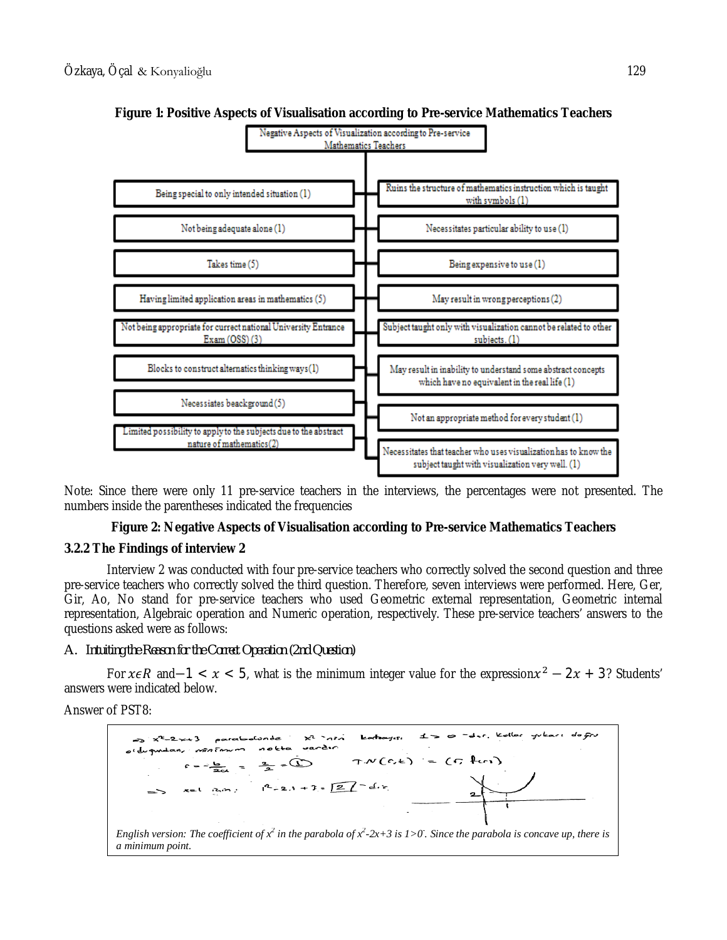

## **Figure 1: Positive Aspects of Visualisation according to Pre-service Mathematics Teachers**

Note: Since there were only 11 pre-service teachers in the interviews, the percentages were not presented. The numbers inside the parentheses indicated the frequencies

### **Figure 2: Negative Aspects of Visualisation according to Pre-service Mathematics Teachers**

### **3.2.2 The Findings of interview 2**

Interview 2 was conducted with four pre-service teachers who correctly solved the second question and three pre-service teachers who correctly solved the third question. Therefore, seven interviews were performed. Here, Ger, Gir, Ao, No stand for pre-service teachers who used Geometric external representation, Geometric internal representation, Algebraic operation and Numeric operation, respectively. These pre-service teachers' answers to the questions asked were as follows:

### *A. Intuiting the Reason for the Correct Operation (2nd Question)*

For  $x \in R$  and-1 <  $x$  < 5, what is the minimum integer value for the expression $x^2 - 2x + 3$ ? Students' answers were indicated below.

Answer of PST8:

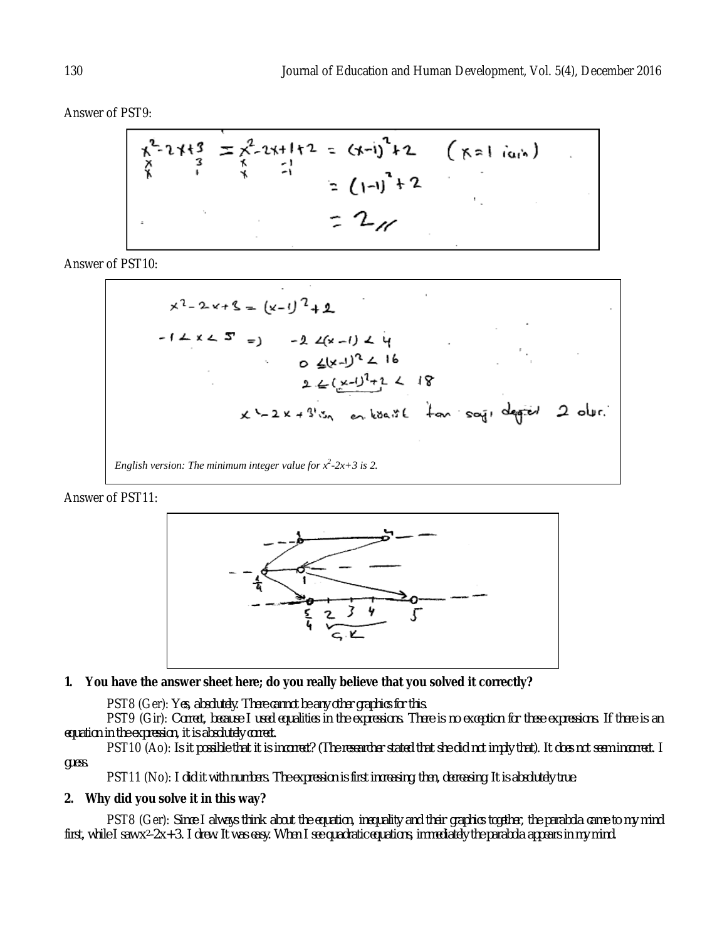Answer of PST9:

$$
\begin{array}{ccc}\n\chi^{2} - 2 + 1 & 3 \\
\chi & 3 & \chi^{2} - 2 + 1 + 2 \\
\chi & 1 & \chi & -1 \\
\chi & 1 & \chi & -1 \\
\chi & 1 & \chi & -1\n\end{array}
$$
\n
$$
= (1-1)^{2} + 2
$$
\n
$$
= 2\pi
$$

Answer of PST10:

$$
x^2 - 2x + 8 = (x-1)^2 + 2
$$
  
\n $-1 \le x \le 5$  =  $-2 \le (x-1) \le 4$   
\n $2 \le (x-1)^2 \le 16$   
\n $2 \le (\frac{x-1)^2 + 2}{2} \le 18$   
\n $x^2 - 2x + 3^2$  or kba if  $\frac{1}{2}$  or sqi degreed 2 over.  
\nEnglish version: The minimum integer value for  $x^2-2x+3$  is 2.

Answer of PST11:



### **1. You have the answer sheet here; do you really believe that you solved it correctly?**

PST8 (Ger): *Yes, absolutely. There cannot be any other graphics for this.*

PST9 (Gir): *Correct, because I used equalities in the expressions. There is no exception for these expressions. If there is an equation in the expression, it is absolutely correct.* 

PST10 (Ao): *Is it possible that it is incorrect? (The researcher stated that she did not imply that). It does not seem incorrect. I guess.* 

PST11 (No): *I did it with numbers. The expression is first increasing, then, decreasing. It is absolutely true.*

#### **2. Why did you solve it in this way?**

PST8 (Ger): *Since I always think about the equation, inequality and their graphics together, the parabola came to my mind first, while I saw x2-2x+3. I drew. It was easy. When I see quadratic equations, immediately the parabola appears in my mind.*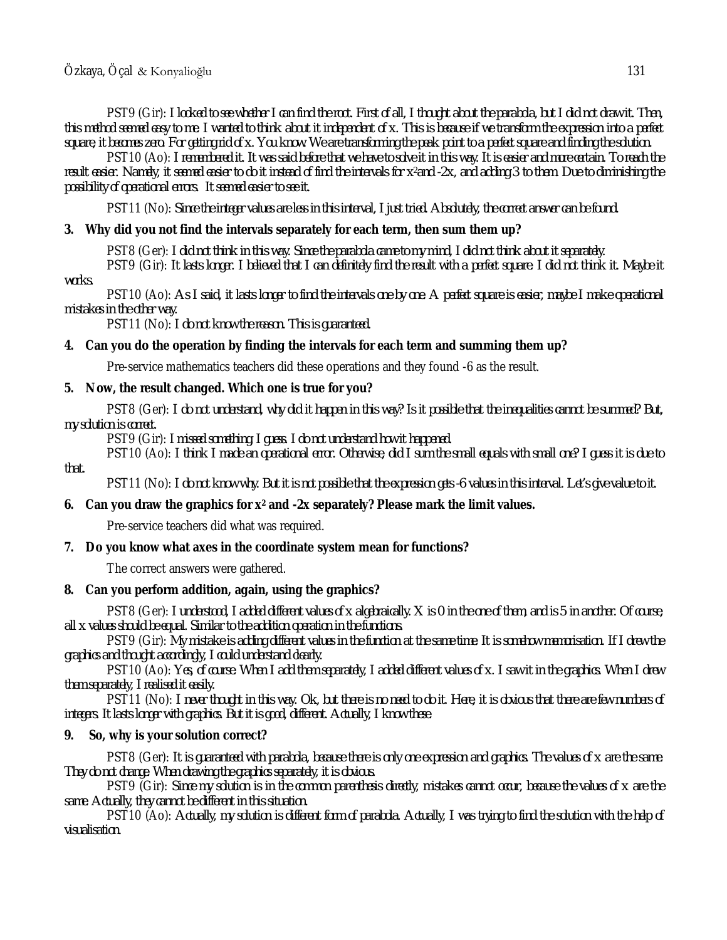PST9 (Gir): *I looked to see whether I can find the root. First of all, I thought about the parabola, but I did not draw it. Then, this method seemed easy to me. I wanted to think about it independent of x. This is because if we transform the expression into a perfect square, it becomes zero. For getting rid of x. You know. We are transforming the peak point to a perfect square and finding the solution.* 

PST10 (Ao): *I remembered it. It was said before that we have to solve it in this way. It is easier and more certain. To reach the result easier. Namely, it seemed easier to do it instead of find the intervals for x2and -2x, and adding 3 to them. Due to diminishing the possibility of operational errors. It seemed easier to see it.* 

PST11 (No): *Since the integer values are less in this interval, I just tried. Absolutely, the correct answer can be found.*

### **3. Why did you not find the intervals separately for each term, then sum them up?**

PST8 (Ger): *I did not think in this way. Since the parabola came to my mind, I did not think about it separately.* 

PST9 (Gir): *It lasts longer. I believed that I can definitely find the result with a perfect square. I did not think it. Maybe it works.* 

PST10 (Ao): *As I said, it lasts longer to find the intervals one by one. A perfect square is easier, maybe I make operational mistakes in the other way.* 

PST11 (No): *I do not know the reason. This is guaranteed.* 

#### **4. Can you do the operation by finding the intervals for each term and summing them up?**

Pre-service mathematics teachers did these operations and they found -6 as the result.

#### **5. Now, the result changed. Which one is true for you?**

PST8 (Ger): *I do not understand, why did it happen in this way? Is it possible that the inequalities cannot be summed? But, my solution is correct.* 

PST9 (Gir): *I missed something, I guess. I do not understand how it happened.*

PST10 (Ao): *I think I made an operational error. Otherwise, did I sum the small equals with small one? I guess it is due to that.* 

PST11 (No): *I do not know why. But it is not possible that the expression gets -6 values in this interval. Let's give value to it.*

### **6. Can you draw the graphics for x<sup>2</sup> and -2x separately? Please mark the limit values.**

Pre-service teachers did what was required.

#### **7. Do you know what axes in the coordinate system mean for functions?**

The correct answers were gathered.

## **8. Can you perform addition, again, using the graphics?**

PST8 (Ger): *I understood, I added different values of x algebraically. X is 0 in the one of them, and is 5 in another. Of course, all x values should be equal. Similar to the addition operation in the functions.* 

PST9 (Gir): *My mistake is adding different values in the function at the same time. It is somehow memorisation. If I drew the graphics and thought accordingly, I could understand clearly.* 

PST10 (Ao): *Yes, of course. When I add them separately, I added different values of x. I saw it in the graphics. When I drew them separately, I realised it easily.*

PST11 (No): *I never thought in this way. Ok, but there is no need to do it. Here, it is obvious that there are few numbers of integers. It lasts longer with graphics. But it is good, different. Actually, I know these.* 

### **9. So, why is your solution correct?**

PST8 (Ger): *It is guaranteed with parabola, because there is only one expression and graphics. The values of x are the same. They do not change. When drawing the graphics separately, it is obvious.* 

PST9 (Gir): *Since my solution is in the common parenthesis directly, mistakes cannot occur, because the values of x are the same. Actually, they cannot be different in this situation.*

PST10 (Ao): *Actually, my solution is different form of parabola. Actually, I was trying to find the solution with the help of visualisation.*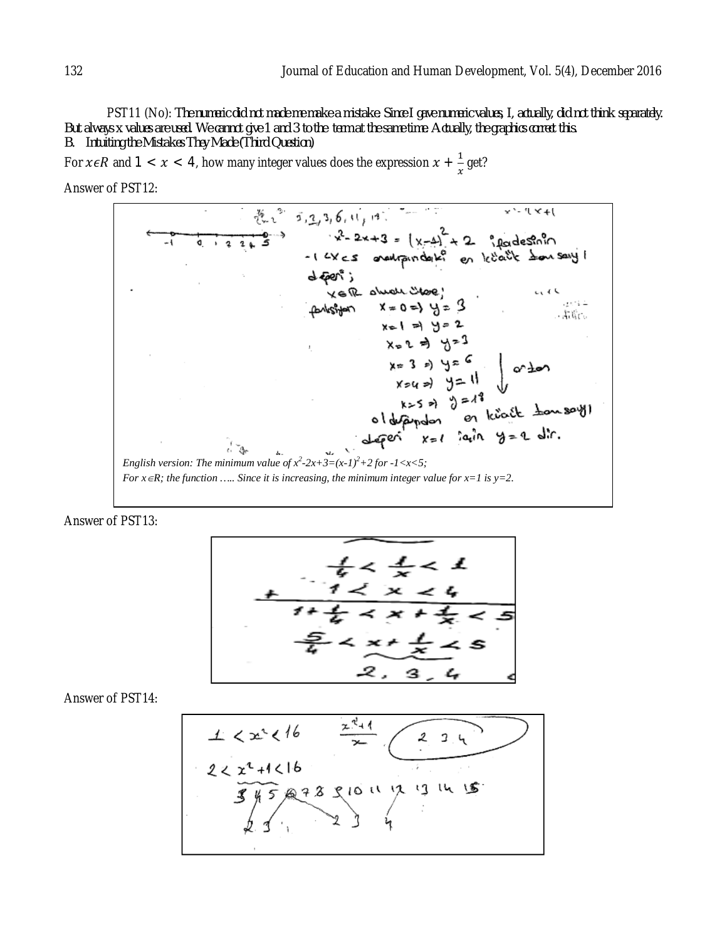PST11 (No): *The numeric did not made me make a mistake. Since I gave numeric values, I, actually, did not think separately. But always x values are used. We cannot give 1 and 3 to the term at the same time. Actually, the graphics correct this. B. Intuiting the Mistakes They Made (Third Question)*

For  $x \in R$  and  $1 < x < 4$ , how many integer values does the expression  $x + \frac{1}{x}$  $\frac{1}{x}$  get?

Answer of PST12:



Answer of PST13:



Answer of PST14:

$$
\frac{1}{2}\n
$$
\frac{x^2+1}{x}
$$
\n
$$
\frac{2}{3}y5
$$
\n
$$
\frac{2}{3}y3
$$
\n
$$
\frac{2}{3}y3
$$
\n
$$
\frac{2}{3}y3
$$
\n
$$
\frac{2}{3}y3
$$
\n
$$
\frac{2}{3}y3
$$
\n
$$
\frac{2}{3}y3
$$
\n
$$
\frac{2}{3}y3
$$
\n
$$
\frac{2}{3}y3
$$
\n
$$
\frac{2}{3}y3
$$
\n
$$
\frac{2}{3}y3
$$
\n
$$
\frac{2}{3}y3
$$
\n
$$
\frac{2}{3}y3
$$
\n
$$
\frac{2}{3}y3
$$
\n
$$
\frac{2}{3}y3
$$
\n
$$
\frac{2}{3}y3
$$
\n
$$
\frac{2}{3}y3
$$
\n
$$
\frac{2}{3}y3
$$
\n
$$
\frac{2}{3}y3
$$
\n
$$
\frac{2}{3}y3
$$
\n
$$
\frac{2}{3}y3
$$
\n
$$
\frac{2}{3}y3
$$
\n
$$
\frac{2}{3}y3
$$
\n
$$
\frac{2}{3}y3
$$
\n
$$
\frac{2}{3}y3
$$
\n
$$
\frac{2}{3}y3
$$
\n
$$
\frac{2}{3}y3
$$
\n
$$
\frac{2}{3}y3
$$
\n
$$
\frac{2}{3}y3
$$
\n
$$
\frac{2}{3}y3
$$
\n
$$
\frac{2}{3}y3
$$
\n
$$
\frac{2}{3}y3
$$
\n
$$
\frac{2}{3}y3
$$
\n
$$
\frac{2}{3}y3
$$
\n
$$
\frac{2}{3}y3
$$
\n
$$
\frac{2}{3}y3
$$
\n
$$
\frac{2}{3}y3
$$
\n
$$
\frac{2}{3}y3
$$
\n
$$
\frac{2}{3}y3
$$
\n
$$
\frac{2}{3}y3
$$
\n<math display="block</math>
$$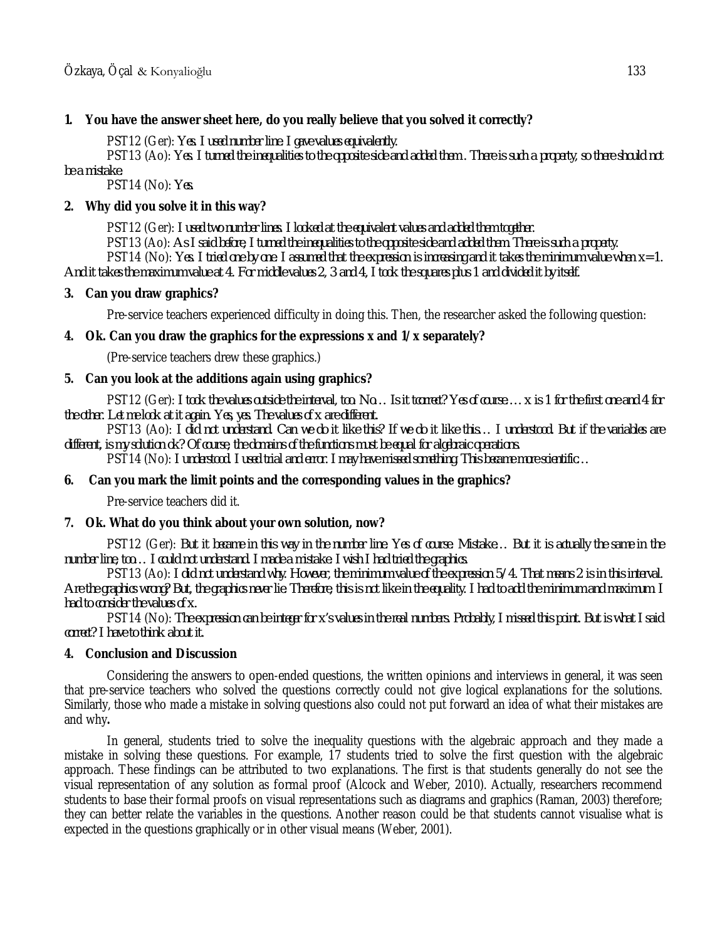# **1. You have the answer sheet here, do you really believe that you solved it correctly?**

PST12 (Ger): *Yes. I used number line. I gave values equivalently.* 

PST13 (Ao): *Yes. I turned the inequalities to the opposite side and added them . There is such a property, so there should not be a mistake.* 

PST14 (No): *Yes.*

# **2. Why did you solve it in this way?**

PST12 (Ger): *I used two number lines. I looked at the equivalent values and added them together.* 

PST13 (Ao): *As I said before, I turned the inequalities to the opposite side and added them. There is such a property.*

PST14 (No): *Yes. I tried one by one. I assumed that the expression is increasing and it takes the minimum value when*  $x=1$ . *And it takes the maximum value at 4. For middle values 2, 3 and 4, I took the squares plus 1 and divided it by itself.* 

# **3. Can you draw graphics?**

Pre-service teachers experienced difficulty in doing this. Then, the researcher asked the following question:

# **4. Ok. Can you draw the graphics for the expressions x and 1/x separately?**

(Pre-service teachers drew these graphics.)

# **5. Can you look at the additions again using graphics?**

PST12 (Ger): *I took the values outside the interval, too. No… Is it tcorrect? Yes of course…. x is 1 for the first one and 4 for the other. Let me look at it again. Yes, yes. The values of x are different.*

PST13 (Ao): *I did not understand. Can we do it like this? If we do it like this… I understood. But if the variables are different, is my solution ok? Of course, the domains of the functions must be equal for algebraic operations.*

PST14 (No): *I understood. I used trial and error. I may have missed something. This became more scientific…*

# **6. Can you mark the limit points and the corresponding values in the graphics?**

Pre-service teachers did it.

# **7. Ok. What do you think about your own solution, now?**

PST12 (Ger): *But it became in this way in the number line. Yes of course. Mistake… But it is actually the same in the number line, too… I could not understand. I made a mistake. I wish I had tried the graphics.*

PST13 (Ao): *I did not understand why. However, the minimum value of the expression 5/4. That means 2 is in this interval. Are the graphics wrong? But, the graphics never lie. Therefore, this is not like in the equality. I had to add the minimum and maximum. I had to consider the values of x.* 

PST14 (No): *The expression can be integer for x's values in the real numbers. Probably, I missed this point. But is what I said correct? I have to think about it.* 

# **4. Conclusion and Discussion**

Considering the answers to open-ended questions, the written opinions and interviews in general, it was seen that pre-service teachers who solved the questions correctly could not give logical explanations for the solutions. Similarly, those who made a mistake in solving questions also could not put forward an idea of what their mistakes are and why**.** 

In general, students tried to solve the inequality questions with the algebraic approach and they made a mistake in solving these questions. For example, 17 students tried to solve the first question with the algebraic approach. These findings can be attributed to two explanations. The first is that students generally do not see the visual representation of any solution as formal proof (Alcock and Weber, 2010). Actually, researchers recommend students to base their formal proofs on visual representations such as diagrams and graphics (Raman, 2003) therefore; they can better relate the variables in the questions. Another reason could be that students cannot visualise what is expected in the questions graphically or in other visual means (Weber, 2001).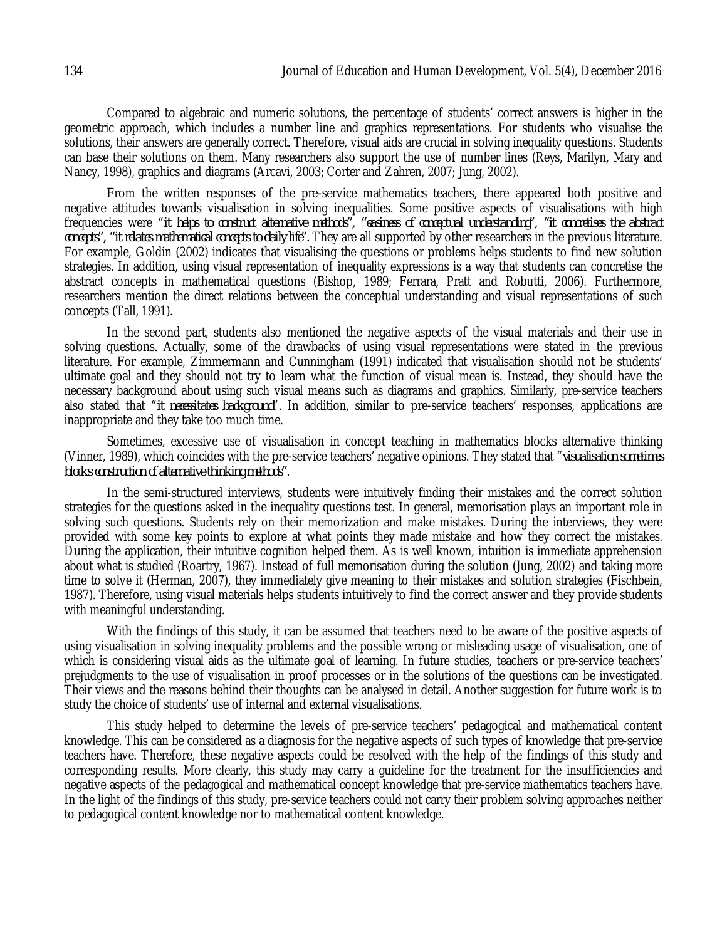Compared to algebraic and numeric solutions, the percentage of students' correct answers is higher in the geometric approach, which includes a number line and graphics representations. For students who visualise the solutions, their answers are generally correct. Therefore, visual aids are crucial in solving inequality questions. Students can base their solutions on them. Many researchers also support the use of number lines (Reys, Marilyn, Mary and Nancy, 1998), graphics and diagrams (Arcavi, 2003; Corter and Zahren, 2007; Jung, 2002).

From the written responses of the pre-service mathematics teachers, there appeared both positive and negative attitudes towards visualisation in solving inequalities. Some positive aspects of visualisations with high frequencies were "*it helps to construct alternative methods", "easiness of conceptual understanding", "it concretises the abstract concepts", "it relates mathematical concepts to daily life".* They are all supported by other researchers in the previous literature. For example, Goldin (2002) indicates that visualising the questions or problems helps students to find new solution strategies. In addition, using visual representation of inequality expressions is a way that students can concretise the abstract concepts in mathematical questions (Bishop, 1989; Ferrara, Pratt and Robutti, 2006). Furthermore, researchers mention the direct relations between the conceptual understanding and visual representations of such concepts (Tall, 1991).

In the second part, students also mentioned the negative aspects of the visual materials and their use in solving questions. Actually, some of the drawbacks of using visual representations were stated in the previous literature. For example, Zimmermann and Cunningham (1991) indicated that visualisation should not be students' ultimate goal and they should not try to learn what the function of visual mean is. Instead, they should have the necessary background about using such visual means such as diagrams and graphics. Similarly, pre-service teachers also stated that "*it necessitates background*". In addition, similar to pre-service teachers' responses, applications are inappropriate and they take too much time.

Sometimes, excessive use of visualisation in concept teaching in mathematics blocks alternative thinking (Vinner, 1989), which coincides with the pre-service teachers' negative opinions. They stated that "*visualisation sometimes blocks construction of alternative thinking methods"*.

In the semi-structured interviews, students were intuitively finding their mistakes and the correct solution strategies for the questions asked in the inequality questions test. In general, memorisation plays an important role in solving such questions. Students rely on their memorization and make mistakes. During the interviews, they were provided with some key points to explore at what points they made mistake and how they correct the mistakes. During the application, their intuitive cognition helped them. As is well known, intuition is immediate apprehension about what is studied (Roartry, 1967). Instead of full memorisation during the solution (Jung, 2002) and taking more time to solve it (Herman, 2007), they immediately give meaning to their mistakes and solution strategies (Fischbein, 1987). Therefore, using visual materials helps students intuitively to find the correct answer and they provide students with meaningful understanding.

With the findings of this study, it can be assumed that teachers need to be aware of the positive aspects of using visualisation in solving inequality problems and the possible wrong or misleading usage of visualisation, one of which is considering visual aids as the ultimate goal of learning. In future studies, teachers or pre-service teachers' prejudgments to the use of visualisation in proof processes or in the solutions of the questions can be investigated. Their views and the reasons behind their thoughts can be analysed in detail. Another suggestion for future work is to study the choice of students' use of internal and external visualisations.

This study helped to determine the levels of pre-service teachers' pedagogical and mathematical content knowledge. This can be considered as a diagnosis for the negative aspects of such types of knowledge that pre-service teachers have. Therefore, these negative aspects could be resolved with the help of the findings of this study and corresponding results. More clearly, this study may carry a guideline for the treatment for the insufficiencies and negative aspects of the pedagogical and mathematical concept knowledge that pre-service mathematics teachers have. In the light of the findings of this study, pre-service teachers could not carry their problem solving approaches neither to pedagogical content knowledge nor to mathematical content knowledge.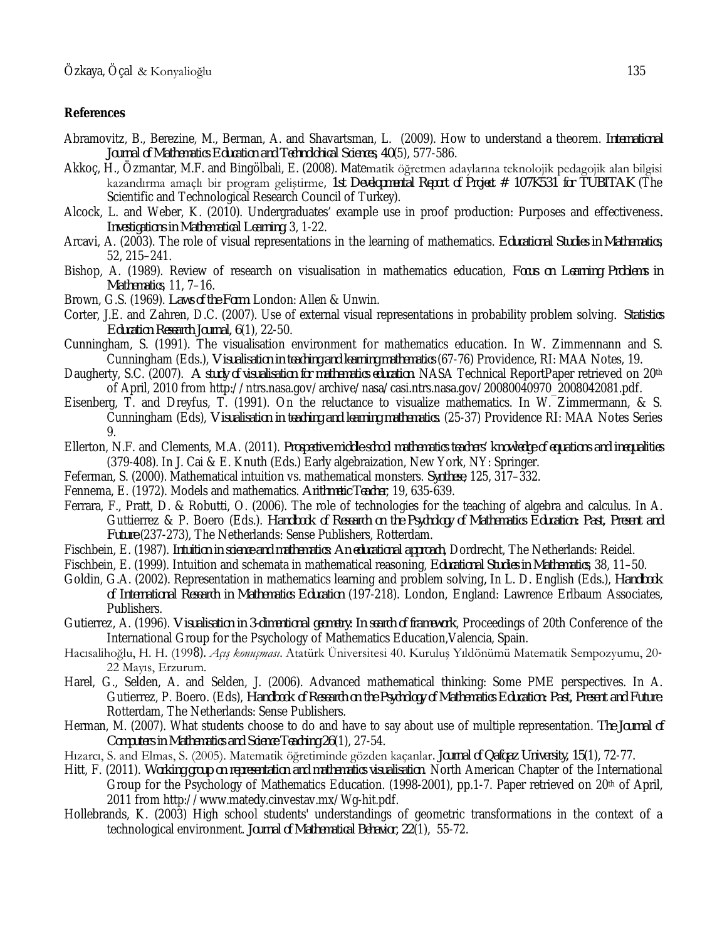#### **References**

- Abramovitz, B., Berezine, M., Berman, A. and Shavartsman, L. (2009). How to understand a theorem. *International Journal of Mathematics Education and Technolohical Sciences, 40*(5), 577-586.
- Akkoç, H., Özmantar, M.F. and Bingölbali, E. (2008). Matematik öğretmen adaylarına teknolojik pedagojik alan bilgisi kazandırma amaçlı bir program geliştirme, *1st Developmental Report of Project # 107K531 for TUBITAK* (The Scientific and Technological Research Council of Turkey).
- Alcock, L. and Weber, K. (2010). Undergraduates' example use in proof production: Purposes and effectiveness*. Investigations in Mathematical Learning,* 3, 1-22.
- Arcavi, A. (2003). The role of visual representations in the learning of mathematics. *Educational Studies in Mathematics*, 52, 215–241.
- Bishop, A. (1989). Review of research on visualisation in mathematics education, *Focus on Learning Problems in Mathematics*, 11, 7–16.
- Brown, G.S. (1969). *Laws of the Form*. London: Allen & Unwin.
- Corter, J.E. and Zahren, D.C. (2007). Use of external visual representations in probability problem solving*. Statistics Education Research Journal, 6*(1), 22-50.
- Cunningham, S. (1991). The visualisation environment for mathematics education. In W. Zimmennann and S. Cunningham (Eds.), *Visualisation in teaching and learning mathematics* (67-76) Providence, RI: MAA Notes, 19.
- Daugherty, S.C. (2007). *A study of visualisation for mathematics education*. NASA Technical ReportPaper retrieved on 20th of April, 2010 from http://ntrs.nasa.gov/archive/nasa/casi.ntrs.nasa.gov/20080040970\_2008042081.pdf.
- Eisenberg, T. and Dreyfus, T. (1991). On the reluctance to visualize mathematics. In W. Zimmermann, & S. Cunningham (Eds), *Visualisation in teaching and learning mathematics.* (25-37) Providence RI: MAA Notes Series 9.
- Ellerton, N.F. and Clements, M.A. (2011). *Prospective middle-school mathematics teachers' knowledge of equations and inequalities* (379-408). In J. Cai & E. Knuth (Eds.) Early algebraization, New York, NY: Springer.
- Feferman, S. (2000). Mathematical intuition vs. mathematical monsters. *Synthese*, 125, 317–332.
- Fennema, E. (1972). Models and mathematics. *Arithmetic Teacher*, 19, 635-639.
- Ferrara, F., Pratt, D. & Robutti, O. (2006). The role of technologies for the teaching of algebra and calculus. In A. Guttierrez & P. Boero (Eds.). *Handbook of Research on the Psychology of Mathematics Education: Past, Present and Future* (237-273), The Netherlands: Sense Publishers, Rotterdam.
- Fischbein, E. (1987). *Intuition in science and mathematics: An educational approach,* Dordrecht, The Netherlands: Reidel.
- Fischbein, E. (1999). Intuition and schemata in mathematical reasoning, *Educational Studies in Mathematics*, 38, 11–50.
- Goldin, G.A. (2002). Representation in mathematics learning and problem solving*,* In L. D. English (Eds.), *Handbook of International Research in Mathematics Education* (197-218). London, England: Lawrence Erlbaum Associates, Publishers.
- Gutierrez, A. (1996). *Visualisation in 3-dimentional geometry: In search of framework*, Proceedings of 20th Conference of the International Group for the Psychology of Mathematics Education,Valencia, Spain.
- Hacısalihoğlu, H. H. (1998). *Açış konuşması*. Atatürk Üniversitesi 40. Kuruluş Yıldönümü Matematik Sempozyumu, 20- 22 Mayıs, Erzurum.
- Harel, G., Selden, A. and Selden, J. (2006). Advanced mathematical thinking: Some PME perspectives. In A. Gutierrez, P. Boero. (Eds), *Handbook of Research on the Psychology of Mathematics Education: Past, Present and Future.* Rotterdam, The Netherlands: Sense Publishers.
- Herman, M. (2007). What students choose to do and have to say about use of multiple representation. *The Journal of Computers in Mathematics and Science Teaching 26*(1), 27-54.
- Hızarcı, S. and Elmas, S. (2005). Matematik öğretiminde gözden kaçanlar. *Journal of Qafqaz University, 15*(1), 72-77.
- Hitt, F. (2011). *Working group on representation and mathematics visualisation*. North American Chapter of the International Group for the Psychology of Mathematics Education. (1998-2001), pp.1-7. Paper retrieved on 20<sup>th</sup> of April, 2011 from http://www.matedy.cinvestav.mx/Wg-hit.pdf.
- Hollebrands, K. (2003) High school students' understandings of geometric transformations in the context of a technological environment. *Journal of Mathematical Behavior, 22*(1), 55-72.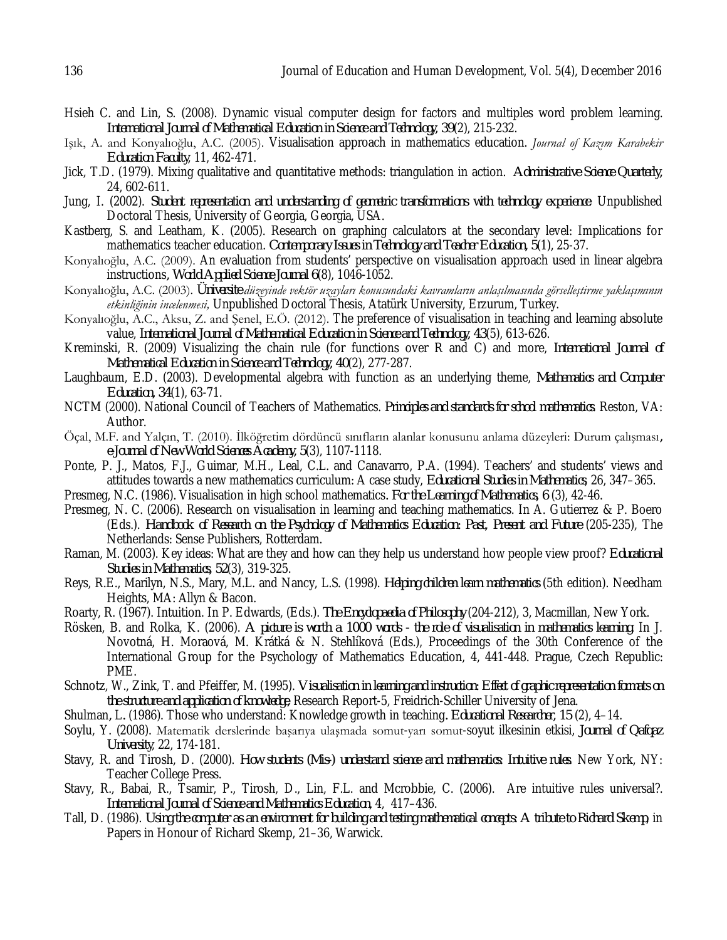- Hsieh C. and Lin, S. (2008). Dynamic visual computer design for factors and multiples word problem learning. *International Journal of Mathematical Education in Science and Technology, 39*(2), 215-232.
- Işık, A. and Konyalıoğlu, A.C. (2005). Visualisation approach in mathematics education. *Journal of Kazım Karabekir Education Faculty*, 11, 462-471.
- Jick, T.D. (1979). Mixing qualitative and quantitative methods: triangulation in action. *Administrative Science Quarterly,* 24, 602-611.
- Jung, I. (2002). *Student representation and understanding of geometric transformations with technology experience*. Unpublished Doctoral Thesis, University of Georgia, Georgia, USA.
- Kastberg, S. and Leatham, K. (2005). Research on graphing calculators at the secondary level: Implications for mathematics teacher education. *Contemporary Issues in Technology and Teacher Education, 5*(1), 25-37.
- Konyalıoğlu, A.C. (2009). An evaluation from students' perspective on visualisation approach used in linear algebra instructions*, World Applied Science Journal 6*(8), 1046-1052.
- Konyalıoğlu, A.C. (2003). *Üniversite düzeyinde vektör uzayları konusundaki kavramların anlaşılmasında görselleştirme yaklaşımının etkinliğinin incelenmesi,* Unpublished Doctoral Thesis, Atatürk University, Erzurum, Turkey.
- Konyalıoğlu, A.C., Aksu, Z. and Şenel, E.Ö. (2012). The preference of visualisation in teaching and learning absolute value, *International Journal of Mathematical Education in Science and Technology, 43*(5), 613-626.
- Kreminski, R. (2009) Visualizing the chain rule (for functions over R and C) and more, *International Journal of Mathematical Education in Science and Technology, 40*(2), 277-287.
- Laughbaum, E.D. (2003). Developmental algebra with function as an underlying theme, *Mathematics and Computer Education, 34*(1), 63-71.
- NCTM (2000). National Council of Teachers of Mathematics. *Principles and standards for school mathematics*. Reston, VA: Author.
- Öçal, M.F. and Yalçın, T. (2010). İlköğretim dördüncü sınıfların alanlar konusunu anlama düzeyleri: Durum çalışması*, e-Journal of New World Sciences Academy, 5*(3), 1107-1118.
- Ponte, P. J., Matos, F.J., Guimar, M.H., Leal, C.L. and Canavarro, P.A. (1994). Teachers' and students' views and attitudes towards a new mathematics curriculum: A case study, *Educational Studies in Mathematics*, 26, 347–365.
- Presmeg, N.C. (1986). Visualisation in high school mathematics*. For the Learning of Mathematics, 6* (3), 42-46.
- Presmeg, N. C. (2006). Research on visualisation in learning and teaching mathematics. In A. Gutierrez & P. Boero (Eds.). *Handbook of Research on the Psychology of Mathematics Education: Past, Present and Future* (205-235), The Netherlands: Sense Publishers, Rotterdam.
- Raman, M. (2003). Key ideas: What are they and how can they help us understand how people view proof? *Educational Studies in Mathematics, 52*(3), 319-325.
- Reys, R.E., Marilyn, N.S., Mary, M.L. and Nancy, L.S. (1998). *Helping children learn mathematics* (5th edition). Needham Heights, MA: Allyn & Bacon.
- Roarty, R. (1967). Intuition. In P. Edwards, (Eds.). *The Encyclopaedia of Philosophy* (204-212), 3, Macmillan, New York.
- Rösken, B. and Rolka, K. (2006). *A picture is worth a 1000 words - the role of visualisation in mathematics learning.* In J. Novotná, H. Moraová, M. Krátká & N. Stehlíková (Eds.), Proceedings of the 30th Conference of the International Group for the Psychology of Mathematics Education, 4, 441-448. Prague, Czech Republic: PME.
- Schnotz, W., Zink, T. and Pfeiffer, M. (1995). *Visualisation in learning and instruction: Effect of graphic representation formats on the structure and application of knowledge*, Research Report-5, Freidrich-Schiller University of Jena.
- Shulman*,* L*.* (1986). Those who understand: Knowledge growth in teaching*. Educational Researcher, 15* (2), 4–14.
- Soylu, Y. (2008). Matematik derslerinde başarıya ulaşmada somut-yarı somut-soyut ilkesinin etkisi, *Journal of Qafqaz University*, 22, 174-181.
- Stavy, R. and Tirosh, D. (2000). *How students (Mis-) understand science and mathematics: Intuitive rules*. New York, NY: Teacher College Press.
- Stavy, R., Babai, R., Tsamir, P., Tirosh, D., Lin, F.L. and Mcrobbie, C. (2006). Are intuitive rules universal?. *International Journal of Science and Mathematics Education*, 4, 417–436.
- Tall, D. (1986). *Using the computer as an environment for building and testing mathematical concepts: A tribute to Richard Skemp*, in Papers in Honour of Richard Skemp, 21–36, Warwick.